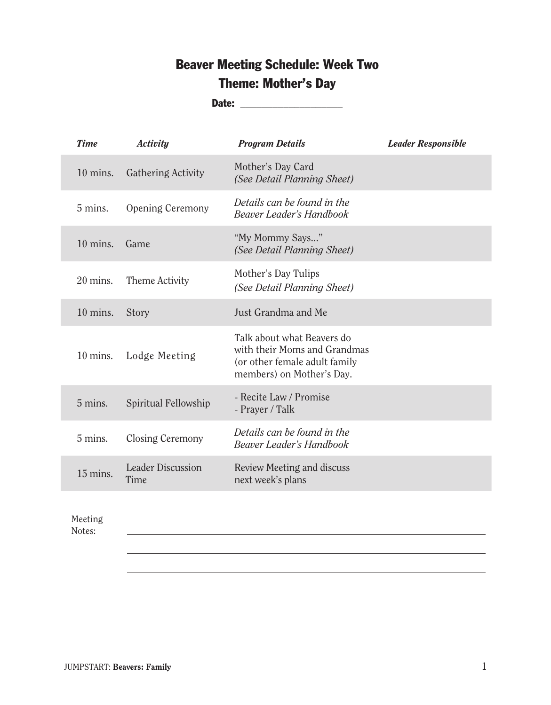# Beaver Meeting Schedule: Week Two Theme: Mother's Day

Date: \_\_\_\_\_\_\_\_\_\_\_\_\_\_\_\_\_\_\_

| <b>Time</b>        | <b>Activity</b>                  | <b>Program Details</b>                                                                                                   | <b>Leader Responsible</b> |
|--------------------|----------------------------------|--------------------------------------------------------------------------------------------------------------------------|---------------------------|
| $10 \text{ mins.}$ | Gathering Activity               | Mother's Day Card<br>(See Detail Planning Sheet)                                                                         |                           |
| 5 mins.            | Opening Ceremony                 | Details can be found in the<br><b>Beaver Leader's Handbook</b>                                                           |                           |
| $10$ mins.         | Game                             | "My Mommy Says"<br>(See Detail Planning Sheet)                                                                           |                           |
| $20$ mins.         | Theme Activity                   | Mother's Day Tulips<br>(See Detail Planning Sheet)                                                                       |                           |
| $10 \text{ mins.}$ | Story                            | Just Grandma and Me                                                                                                      |                           |
| $10$ mins.         | Lodge Meeting                    | Talk about what Beavers do<br>with their Moms and Grandmas<br>(or other female adult family<br>members) on Mother's Day. |                           |
| 5 mins.            | Spiritual Fellowship             | - Recite Law / Promise<br>- Prayer / Talk                                                                                |                           |
| 5 mins.            | Closing Ceremony                 | Details can be found in the<br><b>Beaver Leader's Handbook</b>                                                           |                           |
| 15 mins.           | <b>Leader Discussion</b><br>Time | Review Meeting and discuss<br>next week's plans                                                                          |                           |
|                    |                                  |                                                                                                                          |                           |

Meeting

Notes: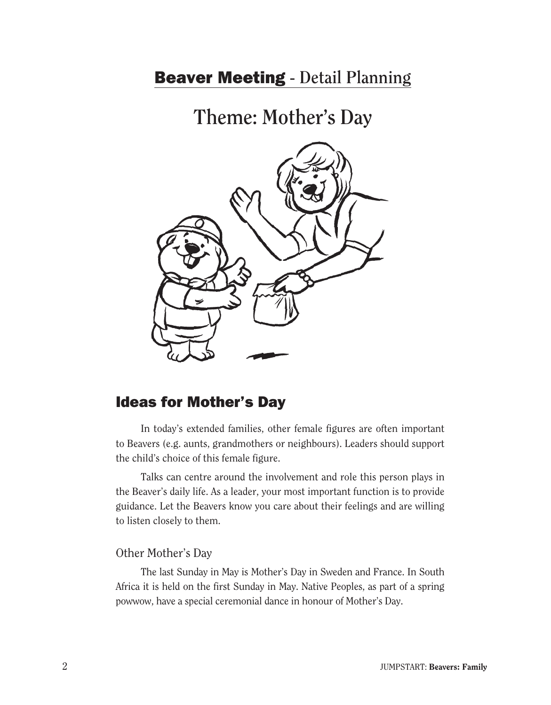# Beaver Meeting **- Detail Planning**

**Theme: Mother's Day**



## Ideas for Mother's Day

 In today's extended families, other female figures are often important to Beavers (e.g. aunts, grandmothers or neighbours). Leaders should support the child's choice of this female figure.

Talks can centre around the involvement and role this person plays in the Beaver's daily life. As a leader, your most important function is to provide guidance. Let the Beavers know you care about their feelings and are willing to listen closely to them.

#### Other Mother's Day

The last Sunday in May is Mother's Day in Sweden and France. In South Africa it is held on the first Sunday in May. Native Peoples, as part of a spring powwow, have a special ceremonial dance in honour of Mother's Day.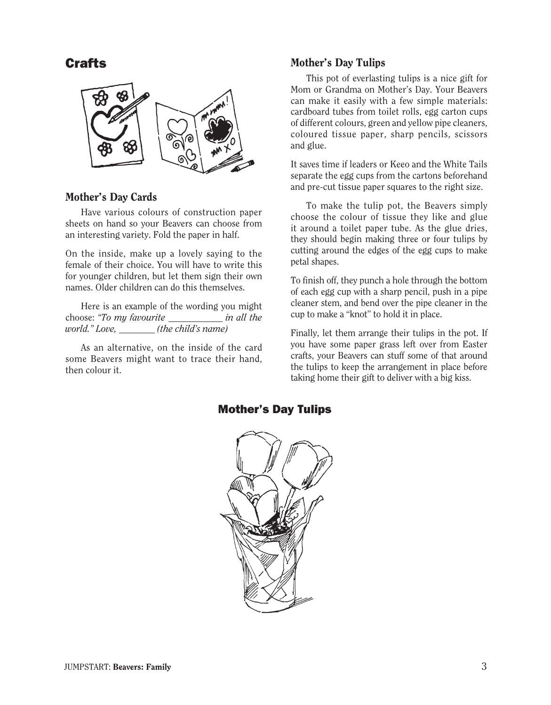**Crafts** 



### Mother's Day Cards

Have various colours of construction paper sheets on hand so your Beavers can choose from an interesting variety. Fold the paper in half.

On the inside, make up a lovely saying to the female of their choice. You will have to write this for younger children, but let them sign their own names. Older children can do this themselves.

Here is an example of the wording you might choose: *"To my favourite in all the world." Love, (the child's name)*

 As an alternative, on the inside of the card some Beavers might want to trace their hand, then colour it.

## Mother's Day Tulips

This pot of everlasting tulips is a nice gift for Mom or Grandma on Mother's Day. Your Beavers can make it easily with a few simple materials: cardboard tubes from toilet rolls, egg carton cups of different colours, green and yellow pipe cleaners, coloured tissue paper, sharp pencils, scissors and glue.

It saves time if leaders or Keeo and the White Tails separate the egg cups from the cartons beforehand and pre-cut tissue paper squares to the right size.

 To make the tulip pot, the Beavers simply choose the colour of tissue they like and glue it around a toilet paper tube. As the glue dries, they should begin making three or four tulips by cutting around the edges of the egg cups to make petal shapes.

To finish off, they punch a hole through the bottom of each egg cup with a sharp pencil, push in a pipe cleaner stem, and bend over the pipe cleaner in the cup to make a "knot" to hold it in place.

Finally, let them arrange their tulips in the pot. If you have some paper grass left over from Easter crafts, your Beavers can stuff some of that around the tulips to keep the arrangement in place before taking home their gift to deliver with a big kiss.



## Mother's Day Tulips